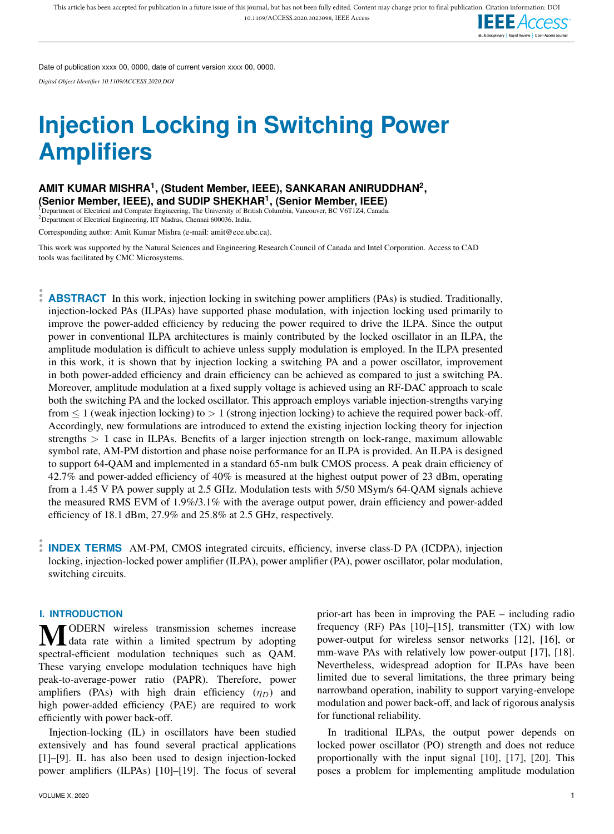

Date of publication xxxx 00, 0000, date of current version xxxx 00, 0000.

*Digital Object Identifier 10.1109/ACCESS.2020.DOI*

# **Injection Locking in Switching Power Amplifiers**

## **AMIT KUMAR MISHRA<sup>1</sup> , (Student Member, IEEE), SANKARAN ANIRUDDHAN<sup>2</sup> , (Senior Member, IEEE), and SUDIP SHEKHAR<sup>1</sup> , (Senior Member, IEEE)**

<sup>1</sup>Department of Electrical and Computer Engineering, The University of British Columbia, Vancouver, BC V6T1Z4, Canada. <sup>2</sup>Department of Electrical Engineering, IIT Madras, Chennai 600036, India.

Corresponding author: Amit Kumar Mishra (e-mail: amit@ece.ubc.ca).

This work was supported by the Natural Sciences and Engineering Research Council of Canada and Intel Corporation. Access to CAD tools was facilitated by CMC Microsystems.

**ABSTRACT** In this work, injection locking in switching power amplifiers (PAs) is studied. Traditionally, injection-locked PAs (ILPAs) have supported phase modulation, with injection locking used primarily to improve the power-added efficiency by reducing the power required to drive the ILPA. Since the output power in conventional ILPA architectures is mainly contributed by the locked oscillator in an ILPA, the amplitude modulation is difficult to achieve unless supply modulation is employed. In the ILPA presented in this work, it is shown that by injection locking a switching PA and a power oscillator, improvement in both power-added efficiency and drain efficiency can be achieved as compared to just a switching PA. Moreover, amplitude modulation at a fixed supply voltage is achieved using an RF-DAC approach to scale both the switching PA and the locked oscillator. This approach employs variable injection-strengths varying from  $\leq 1$  (weak injection locking) to  $> 1$  (strong injection locking) to achieve the required power back-off. Accordingly, new formulations are introduced to extend the existing injection locking theory for injection strengths  $> 1$  case in ILPAs. Benefits of a larger injection strength on lock-range, maximum allowable symbol rate, AM-PM distortion and phase noise performance for an ILPA is provided. An ILPA is designed to support 64-QAM and implemented in a standard 65-nm bulk CMOS process. A peak drain efficiency of 42.7% and power-added efficiency of 40% is measured at the highest output power of 23 dBm, operating from a 1.45 V PA power supply at 2.5 GHz. Modulation tests with 5/50 MSym/s 64-QAM signals achieve the measured RMS EVM of 1.9%/3.1% with the average output power, drain efficiency and power-added efficiency of 18.1 dBm, 27.9% and 25.8% at 2.5 GHz, respectively.

**INDEX TERMS** AM-PM, CMOS integrated circuits, efficiency, inverse class-D PA (ICDPA), injection locking, injection-locked power amplifier (ILPA), power amplifier (PA), power oscillator, polar modulation, switching circuits.

#### **I. INTRODUCTION**

**MODERN** wireless transmission schemes increase<br>Mata rate within a limited spectrum by adopting spectral-efficient modulation techniques such as QAM. These varying envelope modulation techniques have high peak-to-average-power ratio (PAPR). Therefore, power amplifiers (PAs) with high drain efficiency  $(\eta_D)$  and high power-added efficiency (PAE) are required to work efficiently with power back-off.

Injection-locking (IL) in oscillators have been studied extensively and has found several practical applications [1]–[9]. IL has also been used to design injection-locked power amplifiers (ILPAs) [10]–[19]. The focus of several

prior-art has been in improving the PAE – including radio frequency (RF) PAs [10]–[15], transmitter (TX) with low power-output for wireless sensor networks [12], [16], or mm-wave PAs with relatively low power-output [17], [18]. Nevertheless, widespread adoption for ILPAs have been limited due to several limitations, the three primary being narrowband operation, inability to support varying-envelope modulation and power back-off, and lack of rigorous analysis for functional reliability.

In traditional ILPAs, the output power depends on locked power oscillator (PO) strength and does not reduce proportionally with the input signal [10], [17], [20]. This poses a problem for implementing amplitude modulation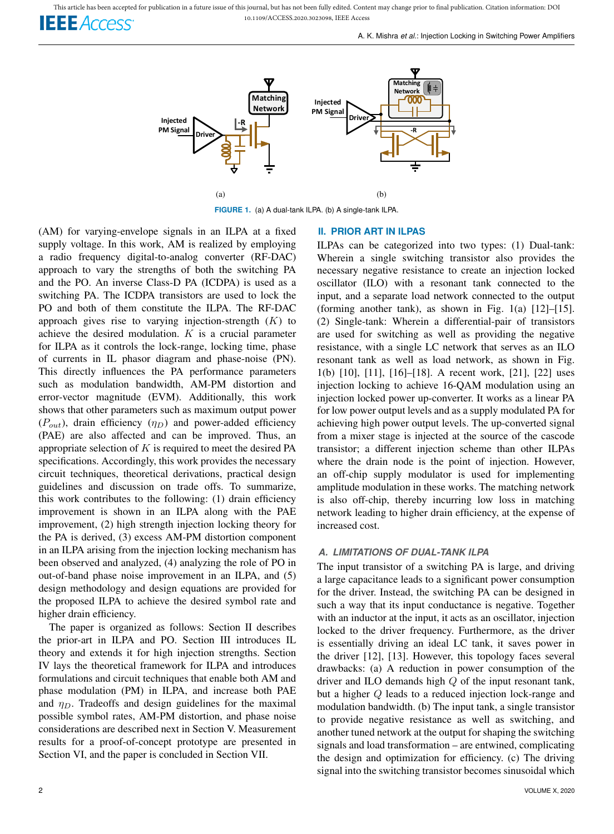This article has been accepted for publication in a future issue of this journal, but has not been fully edited. Content may change prior to final publication. Citation information: DOI 10.1109/ACCESS.2020.3023098, IEEE Access

**IEEE** Access

A. K. Mishra *et al.*: Injection Locking in Switching Power Amplifiers



**FIGURE 1.** (a) A dual-tank ILPA. (b) A single-tank ILPA.

(AM) for varying-envelope signals in an ILPA at a fixed supply voltage. In this work, AM is realized by employing a radio frequency digital-to-analog converter (RF-DAC) approach to vary the strengths of both the switching PA and the PO. An inverse Class-D PA (ICDPA) is used as a switching PA. The ICDPA transistors are used to lock the PO and both of them constitute the ILPA. The RF-DAC approach gives rise to varying injection-strength  $(K)$  to achieve the desired modulation.  $K$  is a crucial parameter for ILPA as it controls the lock-range, locking time, phase of currents in IL phasor diagram and phase-noise (PN). This directly influences the PA performance parameters such as modulation bandwidth, AM-PM distortion and error-vector magnitude (EVM). Additionally, this work shows that other parameters such as maximum output power  $(P_{out})$ , drain efficiency  $(\eta_D)$  and power-added efficiency (PAE) are also affected and can be improved. Thus, an appropriate selection of  $K$  is required to meet the desired PA specifications. Accordingly, this work provides the necessary circuit techniques, theoretical derivations, practical design guidelines and discussion on trade offs. To summarize, this work contributes to the following: (1) drain efficiency improvement is shown in an ILPA along with the PAE improvement, (2) high strength injection locking theory for the PA is derived, (3) excess AM-PM distortion component in an ILPA arising from the injection locking mechanism has been observed and analyzed, (4) analyzing the role of PO in out-of-band phase noise improvement in an ILPA, and (5) design methodology and design equations are provided for the proposed ILPA to achieve the desired symbol rate and higher drain efficiency.

The paper is organized as follows: Section II describes the prior-art in ILPA and PO. Section III introduces IL theory and extends it for high injection strengths. Section IV lays the theoretical framework for ILPA and introduces formulations and circuit techniques that enable both AM and phase modulation (PM) in ILPA, and increase both PAE and  $\eta_D$ . Tradeoffs and design guidelines for the maximal possible symbol rates, AM-PM distortion, and phase noise considerations are described next in Section V. Measurement results for a proof-of-concept prototype are presented in Section VI, and the paper is concluded in Section VII.

## **II. PRIOR ART IN ILPAS**

ILPAs can be categorized into two types: (1) Dual-tank: Wherein a single switching transistor also provides the necessary negative resistance to create an injection locked oscillator (ILO) with a resonant tank connected to the input, and a separate load network connected to the output (forming another tank), as shown in Fig. 1(a) [12]–[15]. (2) Single-tank: Wherein a differential-pair of transistors are used for switching as well as providing the negative resistance, with a single LC network that serves as an ILO resonant tank as well as load network, as shown in Fig. 1(b) [10], [11], [16]–[18]. A recent work, [21], [22] uses injection locking to achieve 16-QAM modulation using an injection locked power up-converter. It works as a linear PA for low power output levels and as a supply modulated PA for achieving high power output levels. The up-converted signal from a mixer stage is injected at the source of the cascode transistor; a different injection scheme than other ILPAs where the drain node is the point of injection. However, an off-chip supply modulator is used for implementing amplitude modulation in these works. The matching network is also off-chip, thereby incurring low loss in matching network leading to higher drain efficiency, at the expense of increased cost.

## *A. LIMITATIONS OF DUAL-TANK ILPA*

The input transistor of a switching PA is large, and driving a large capacitance leads to a significant power consumption for the driver. Instead, the switching PA can be designed in such a way that its input conductance is negative. Together with an inductor at the input, it acts as an oscillator, injection locked to the driver frequency. Furthermore, as the driver is essentially driving an ideal LC tank, it saves power in the driver [12], [13]. However, this topology faces several drawbacks: (a) A reduction in power consumption of the driver and ILO demands high Q of the input resonant tank, but a higher Q leads to a reduced injection lock-range and modulation bandwidth. (b) The input tank, a single transistor to provide negative resistance as well as switching, and another tuned network at the output for shaping the switching signals and load transformation – are entwined, complicating the design and optimization for efficiency. (c) The driving signal into the switching transistor becomes sinusoidal which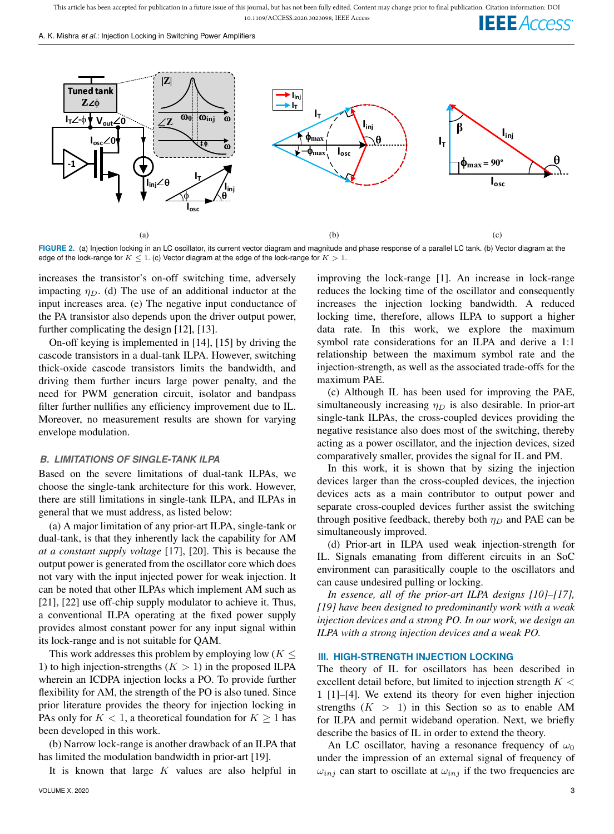This article has been accepted for publication in a future issue of this journal, but has not been fully edited. Content may change prior to final publication. Citation information: DOI 10.1109/ACCESS.2020.3023098, IEEE Access **IEEE** Access

A. K. Mishra *et al.*: Injection Locking in Switching Power Amplifiers



**FIGURE 2.** (a) Injection locking in an LC oscillator, its current vector diagram and magnitude and phase response of a parallel LC tank. (b) Vector diagram at the edge of the lock-range for  $K \leq 1$ . (c) Vector diagram at the edge of the lock-range for  $K > 1$ .

increases the transistor's on-off switching time, adversely impacting  $\eta_D$ . (d) The use of an additional inductor at the input increases area. (e) The negative input conductance of the PA transistor also depends upon the driver output power, further complicating the design [12], [13].

On-off keying is implemented in [14], [15] by driving the cascode transistors in a dual-tank ILPA. However, switching thick-oxide cascode transistors limits the bandwidth, and driving them further incurs large power penalty, and the need for PWM generation circuit, isolator and bandpass filter further nullifies any efficiency improvement due to IL. Moreover, no measurement results are shown for varying envelope modulation.

## *B. LIMITATIONS OF SINGLE-TANK ILPA*

Based on the severe limitations of dual-tank ILPAs, we choose the single-tank architecture for this work. However, there are still limitations in single-tank ILPA, and ILPAs in general that we must address, as listed below:

(a) A major limitation of any prior-art ILPA, single-tank or dual-tank, is that they inherently lack the capability for AM *at a constant supply voltage* [17], [20]. This is because the output power is generated from the oscillator core which does not vary with the input injected power for weak injection. It can be noted that other ILPAs which implement AM such as [21], [22] use off-chip supply modulator to achieve it. Thus, a conventional ILPA operating at the fixed power supply provides almost constant power for any input signal within its lock-range and is not suitable for QAM.

This work addresses this problem by employing low ( $K \leq$ 1) to high injection-strengths  $(K > 1)$  in the proposed ILPA wherein an ICDPA injection locks a PO. To provide further flexibility for AM, the strength of the PO is also tuned. Since prior literature provides the theory for injection locking in PAs only for  $K < 1$ , a theoretical foundation for  $K \geq 1$  has been developed in this work.

(b) Narrow lock-range is another drawback of an ILPA that has limited the modulation bandwidth in prior-art [19].

It is known that large  $K$  values are also helpful in

improving the lock-range [1]. An increase in lock-range reduces the locking time of the oscillator and consequently increases the injection locking bandwidth. A reduced locking time, therefore, allows ILPA to support a higher data rate. In this work, we explore the maximum symbol rate considerations for an ILPA and derive a 1:1 relationship between the maximum symbol rate and the injection-strength, as well as the associated trade-offs for the maximum PAE.

(c) Although IL has been used for improving the PAE, simultaneously increasing  $\eta_D$  is also desirable. In prior-art single-tank ILPAs, the cross-coupled devices providing the negative resistance also does most of the switching, thereby acting as a power oscillator, and the injection devices, sized comparatively smaller, provides the signal for IL and PM.

In this work, it is shown that by sizing the injection devices larger than the cross-coupled devices, the injection devices acts as a main contributor to output power and separate cross-coupled devices further assist the switching through positive feedback, thereby both  $\eta_D$  and PAE can be simultaneously improved.

(d) Prior-art in ILPA used weak injection-strength for IL. Signals emanating from different circuits in an SoC environment can parasitically couple to the oscillators and can cause undesired pulling or locking.

*In essence, all of the prior-art ILPA designs [10]–[17], [19] have been designed to predominantly work with a weak injection devices and a strong PO. In our work, we design an ILPA with a strong injection devices and a weak PO.*

#### **III. HIGH-STRENGTH INJECTION LOCKING**

The theory of IL for oscillators has been described in excellent detail before, but limited to injection strength  $K <$ 1 [1]–[4]. We extend its theory for even higher injection strengths  $(K > 1)$  in this Section so as to enable AM for ILPA and permit wideband operation. Next, we briefly describe the basics of IL in order to extend the theory.

An LC oscillator, having a resonance frequency of  $\omega_0$ under the impression of an external signal of frequency of  $\omega_{inj}$  can start to oscillate at  $\omega_{inj}$  if the two frequencies are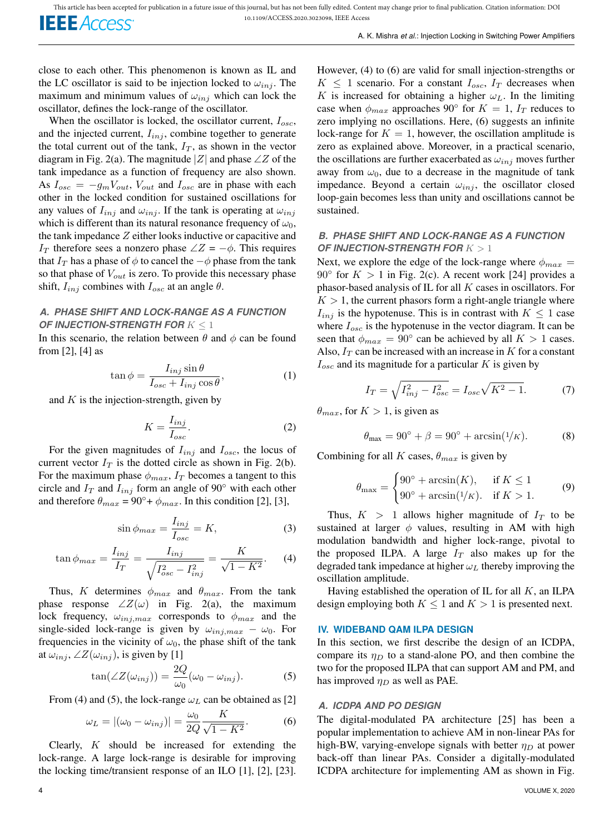close to each other. This phenomenon is known as IL and the LC oscillator is said to be injection locked to  $\omega_{inj}$ . The maximum and minimum values of  $\omega_{inj}$  which can lock the oscillator, defines the lock-range of the oscillator.

When the oscillator is locked, the oscillator current,  $I_{osc}$ , and the injected current,  $I_{inj}$ , combine together to generate the total current out of the tank,  $I_T$ , as shown in the vector diagram in Fig. 2(a). The magnitude |Z| and phase  $\angle Z$  of the tank impedance as a function of frequency are also shown. As  $I_{osc} = -g_m V_{out}$ ,  $V_{out}$  and  $I_{osc}$  are in phase with each other in the locked condition for sustained oscillations for any values of  $I_{inj}$  and  $\omega_{inj}$ . If the tank is operating at  $\omega_{inj}$ which is different than its natural resonance frequency of  $\omega_0$ , the tank impedance  $Z$  either looks inductive or capacitive and I<sub>T</sub> therefore sees a nonzero phase  $\angle Z = -\phi$ . This requires that  $I_T$  has a phase of  $\phi$  to cancel the  $-\phi$  phase from the tank so that phase of  $V_{out}$  is zero. To provide this necessary phase shift,  $I_{inj}$  combines with  $I_{osc}$  at an angle  $\theta$ .

## *A. PHASE SHIFT AND LOCK-RANGE AS A FUNCTION OF INJECTION-STRENGTH FOR*  $K \leq 1$

In this scenario, the relation between  $\theta$  and  $\phi$  can be found from [2], [4] as

$$
\tan \phi = \frac{I_{inj} \sin \theta}{I_{osc} + I_{inj} \cos \theta},\tag{1}
$$

and  $K$  is the injection-strength, given by

$$
K = \frac{I_{inj}}{I_{osc}}.\t(2)
$$

For the given magnitudes of  $I_{inj}$  and  $I_{osc}$ , the locus of current vector  $I_T$  is the dotted circle as shown in Fig. 2(b). For the maximum phase  $\phi_{max}$ ,  $I_T$  becomes a tangent to this circle and  $I_T$  and  $I_{inj}$  form an angle of 90 $\degree$  with each other and therefore  $\theta_{max} = 90^\circ + \phi_{max}$ . In this condition [2], [3],

$$
\sin \phi_{max} = \frac{I_{inj}}{I_{osc}} = K,\tag{3}
$$

$$
\tan \phi_{max} = \frac{I_{inj}}{I_T} = \frac{I_{inj}}{\sqrt{I_{osc}^2 - I_{inj}^2}} = \frac{K}{\sqrt{1 - K^2}}.
$$
 (4)

Thus, K determines  $\phi_{max}$  and  $\theta_{max}$ . From the tank phase response  $\angle Z(\omega)$  in Fig. 2(a), the maximum lock frequency,  $\omega_{inj,max}$  corresponds to  $\phi_{max}$  and the single-sided lock-range is given by  $\omega_{inj,max} - \omega_0$ . For frequencies in the vicinity of  $\omega_0$ , the phase shift of the tank at  $\omega_{inj}$ , ∠ $Z(\omega_{inj})$ , is given by [1]

$$
\tan(\angle Z(\omega_{inj})) = \frac{2Q}{\omega_0}(\omega_0 - \omega_{inj}).
$$
 (5)

From (4) and (5), the lock-range  $\omega_L$  can be obtained as [2]

$$
\omega_L = |(\omega_0 - \omega_{inj})| = \frac{\omega_0}{2Q} \frac{K}{\sqrt{1 - K^2}}.
$$
 (6)

Clearly, K should be increased for extending the lock-range. A large lock-range is desirable for improving the locking time/transient response of an ILO [1], [2], [23]. However, (4) to (6) are valid for small injection-strengths or  $K \leq 1$  scenario. For a constant  $I_{osc}$ ,  $I_T$  decreases when K is increased for obtaining a higher  $\omega_L$ . In the limiting case when  $\phi_{max}$  approaches 90° for  $K = 1$ ,  $I_T$  reduces to zero implying no oscillations. Here, (6) suggests an infinite lock-range for  $K = 1$ , however, the oscillation amplitude is zero as explained above. Moreover, in a practical scenario, the oscillations are further exacerbated as  $\omega_{inj}$  moves further away from  $\omega_0$ , due to a decrease in the magnitude of tank impedance. Beyond a certain  $\omega_{inj}$ , the oscillator closed loop-gain becomes less than unity and oscillations cannot be sustained.

## *B. PHASE SHIFT AND LOCK-RANGE AS A FUNCTION OF INJECTION-STRENGTH FOR* K > 1

Next, we explore the edge of the lock-range where  $\phi_{max} =$ 90 $\degree$  for  $K > 1$  in Fig. 2(c). A recent work [24] provides a phasor-based analysis of IL for all  $K$  cases in oscillators. For  $K > 1$ , the current phasors form a right-angle triangle where  $I_{inj}$  is the hypotenuse. This is in contrast with  $K \leq 1$  case where  $I_{osc}$  is the hypotenuse in the vector diagram. It can be seen that  $\phi_{max} = 90^{\circ}$  can be achieved by all  $K > 1$  cases. Also,  $I_T$  can be increased with an increase in K for a constant  $I_{osc}$  and its magnitude for a particular  $K$  is given by

$$
I_T = \sqrt{I_{inj}^2 - I_{osc}^2} = I_{osc}\sqrt{K^2 - 1}.
$$
 (7)

 $\theta_{max}$ , for  $K > 1$ , is given as

$$
\theta_{\text{max}} = 90^{\circ} + \beta = 90^{\circ} + \arcsin(1/\kappa). \tag{8}
$$

Combining for all K cases,  $\theta_{max}$  is given by

$$
\theta_{\text{max}} = \begin{cases} 90^{\circ} + \arcsin(K), & \text{if } K \le 1 \\ 90^{\circ} + \arcsin(1/K), & \text{if } K > 1. \end{cases} \tag{9}
$$

Thus,  $K > 1$  allows higher magnitude of  $I_T$  to be sustained at larger  $\phi$  values, resulting in AM with high modulation bandwidth and higher lock-range, pivotal to the proposed ILPA. A large  $I_T$  also makes up for the degraded tank impedance at higher  $\omega_L$  thereby improving the oscillation amplitude.

Having established the operation of IL for all  $K$ , an ILPA design employing both  $K \leq 1$  and  $K > 1$  is presented next.

## **IV. WIDEBAND QAM ILPA DESIGN**

In this section, we first describe the design of an ICDPA, compare its  $\eta_D$  to a stand-alone PO, and then combine the two for the proposed ILPA that can support AM and PM, and has improved  $\eta_D$  as well as PAE.

#### *A. ICDPA AND PO DESIGN*

The digital-modulated PA architecture [25] has been a popular implementation to achieve AM in non-linear PAs for high-BW, varying-envelope signals with better  $\eta_D$  at power back-off than linear PAs. Consider a digitally-modulated ICDPA architecture for implementing AM as shown in Fig.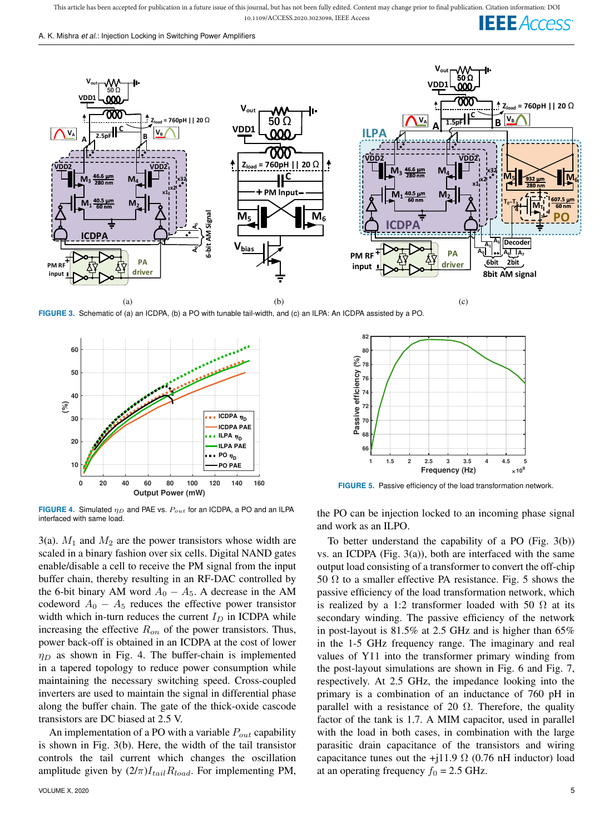This article has been accepted for publication in a future issue of this journal, but has not been fully edited. Content may change prior to final publication. Citation information: DOI 10.1109/ACCESS.2020.3023098, IEEE Access **IEEE** Access





**FIGURE 3.** Schematic of (a) an ICDPA, (b) a PO with tunable tail-width, and (c) an ILPA: An ICDPA assisted by a PO.



**FIGURE 4.** Simulated  $\eta_D$  and PAE vs.  $P_{out}$  for an ICDPA, a PO and an ILPA interfaced with same load.

3(a).  $M_1$  and  $M_2$  are the power transistors whose width are scaled in a binary fashion over six cells. Digital NAND gates enable/disable a cell to receive the PM signal from the input buffer chain, thereby resulting in an RF-DAC controlled by the 6-bit binary AM word  $A_0 - A_5$ . A decrease in the AM codeword  $A_0 - A_5$  reduces the effective power transistor width which in-turn reduces the current  $I_D$  in ICDPA while increasing the effective  $R_{on}$  of the power transistors. Thus, power back-off is obtained in an ICDPA at the cost of lower  $\eta_D$  as shown in Fig. 4. The buffer-chain is implemented in a tapered topology to reduce power consumption while maintaining the necessary switching speed. Cross-coupled inverters are used to maintain the signal in differential phase along the buffer chain. The gate of the thick-oxide cascode transistors are DC biased at 2.5 V.

An implementation of a PO with a variable  $P_{out}$  capability is shown in Fig. 3(b). Here, the width of the tail transistor controls the tail current which changes the oscillation amplitude given by  $(2/\pi)I_{tail}R_{load}$ . For implementing PM,



**FIGURE 5.** Passive efficiency of the load transformation network.

the PO can be injection locked to an incoming phase signal and work as an ILPO.

To better understand the capability of a PO (Fig. 3(b)) vs. an ICDPA (Fig. 3(a)), both are interfaced with the same output load consisting of a transformer to convert the off-chip 50  $\Omega$  to a smaller effective PA resistance. Fig. 5 shows the passive efficiency of the load transformation network, which is realized by a 1:2 transformer loaded with 50  $\Omega$  at its secondary winding. The passive efficiency of the network in post-layout is 81.5% at 2.5 GHz and is higher than 65% in the 1-5 GHz frequency range. The imaginary and real values of Y11 into the transformer primary winding from the post-layout simulations are shown in Fig. 6 and Fig. 7, respectively. At 2.5 GHz, the impedance looking into the primary is a combination of an inductance of 760 pH in parallel with a resistance of 20  $\Omega$ . Therefore, the quality factor of the tank is 1.7. A MIM capacitor, used in parallel with the load in both cases, in combination with the large parasitic drain capacitance of the transistors and wiring capacitance tunes out the +j11.9  $\Omega$  (0.76 nH inductor) load at an operating frequency  $f_0 = 2.5$  GHz.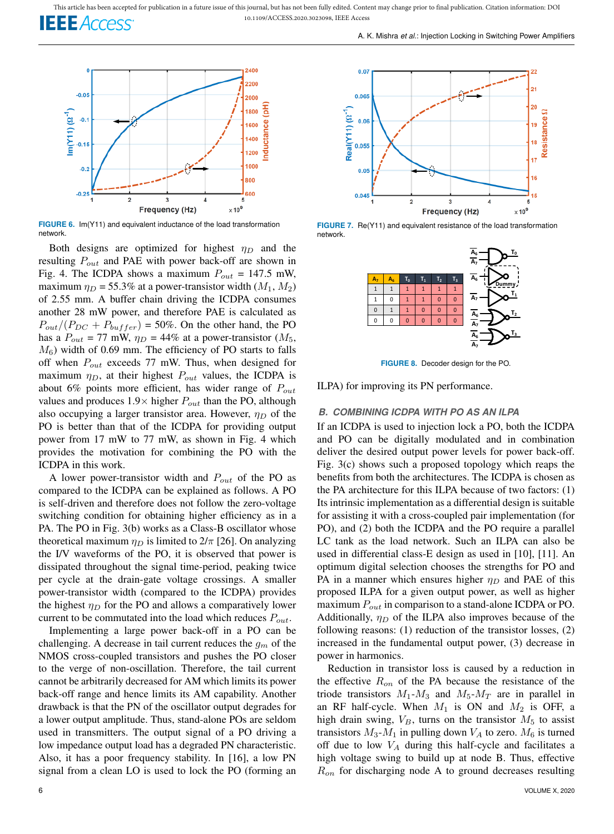

**FIGURE 6.** Im(Y11) and equivalent inductance of the load transformation network.

Both designs are optimized for highest  $\eta_D$  and the resulting  $P_{out}$  and PAE with power back-off are shown in Fig. 4. The ICDPA shows a maximum  $P_{out} = 147.5$  mW, maximum  $\eta_D = 55.3\%$  at a power-transistor width  $(M_1, M_2)$ of 2.55 mm. A buffer chain driving the ICDPA consumes another 28 mW power, and therefore PAE is calculated as  $P_{out}/(P_{DC} + P_{buffer}) = 50\%$ . On the other hand, the PO has a  $P_{out}$  = 77 mW,  $\eta_D$  = 44% at a power-transistor ( $M_5$ ,  $M_6$ ) width of 0.69 mm. The efficiency of PO starts to falls off when  $P_{out}$  exceeds 77 mW. Thus, when designed for maximum  $\eta_D$ , at their highest  $P_{out}$  values, the ICDPA is about 6% points more efficient, has wider range of  $P_{out}$ values and produces  $1.9 \times$  higher  $P_{out}$  than the PO, although also occupying a larger transistor area. However,  $\eta_D$  of the PO is better than that of the ICDPA for providing output power from 17 mW to 77 mW, as shown in Fig. 4 which provides the motivation for combining the PO with the ICDPA in this work.

A lower power-transistor width and  $P_{out}$  of the PO as compared to the ICDPA can be explained as follows. A PO is self-driven and therefore does not follow the zero-voltage switching condition for obtaining higher efficiency as in a PA. The PO in Fig. 3(b) works as a Class-B oscillator whose theoretical maximum  $\eta_D$  is limited to  $2/\pi$  [26]. On analyzing the I/V waveforms of the PO, it is observed that power is dissipated throughout the signal time-period, peaking twice per cycle at the drain-gate voltage crossings. A smaller power-transistor width (compared to the ICDPA) provides the highest  $\eta_D$  for the PO and allows a comparatively lower current to be commutated into the load which reduces  $P_{out}$ .

Implementing a large power back-off in a PO can be challenging. A decrease in tail current reduces the  $g_m$  of the NMOS cross-coupled transistors and pushes the PO closer to the verge of non-oscillation. Therefore, the tail current cannot be arbitrarily decreased for AM which limits its power back-off range and hence limits its AM capability. Another drawback is that the PN of the oscillator output degrades for a lower output amplitude. Thus, stand-alone POs are seldom used in transmitters. The output signal of a PO driving a low impedance output load has a degraded PN characteristic. Also, it has a poor frequency stability. In [16], a low PN signal from a clean LO is used to lock the PO (forming an



**FIGURE 7.** Re(Y11) and equivalent resistance of the load transformation network.



**FIGURE 8.** Decoder design for the PO.

ILPA) for improving its PN performance.

## *B. COMBINING ICDPA WITH PO AS AN ILPA*

If an ICDPA is used to injection lock a PO, both the ICDPA and PO can be digitally modulated and in combination deliver the desired output power levels for power back-off. Fig. 3(c) shows such a proposed topology which reaps the benefits from both the architectures. The ICDPA is chosen as the PA architecture for this ILPA because of two factors: (1) Its intrinsic implementation as a differential design is suitable for assisting it with a cross-coupled pair implementation (for PO), and (2) both the ICDPA and the PO require a parallel LC tank as the load network. Such an ILPA can also be used in differential class-E design as used in [10], [11]. An optimum digital selection chooses the strengths for PO and PA in a manner which ensures higher  $\eta_D$  and PAE of this proposed ILPA for a given output power, as well as higher maximum  $P_{out}$  in comparison to a stand-alone ICDPA or PO. Additionally,  $\eta_D$  of the ILPA also improves because of the following reasons: (1) reduction of the transistor losses, (2) increased in the fundamental output power, (3) decrease in power in harmonics.

Reduction in transistor loss is caused by a reduction in the effective  $R_{on}$  of the PA because the resistance of the triode transistors  $M_1$ - $M_3$  and  $M_5$ - $M_T$  are in parallel in an RF half-cycle. When  $M_1$  is ON and  $M_2$  is OFF, a high drain swing,  $V_B$ , turns on the transistor  $M_5$  to assist transistors  $M_3$ - $M_1$  in pulling down  $V_A$  to zero.  $M_6$  is turned off due to low  $V_A$  during this half-cycle and facilitates a high voltage swing to build up at node B. Thus, effective  $R_{on}$  for discharging node A to ground decreases resulting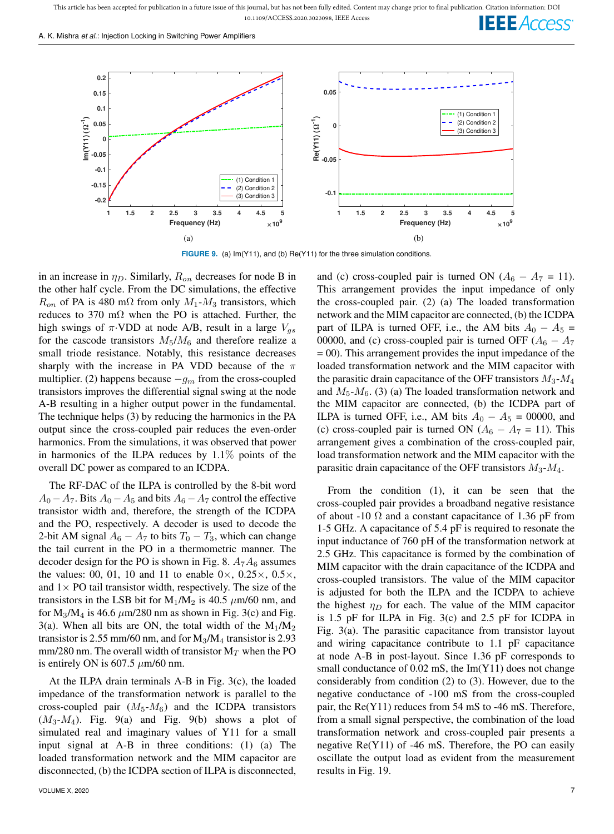A. K. Mishra *et al.*: Injection Locking in Switching Power Amplifiers



**FIGURE 9.** (a) Im(Y11), and (b) Re(Y11) for the three simulation conditions.

in an increase in  $\eta_D$ . Similarly,  $R_{on}$  decreases for node B in the other half cycle. From the DC simulations, the effective  $R_{on}$  of PA is 480 m $\Omega$  from only  $M_1$ - $M_3$  transistors, which reduces to 370 m $\Omega$  when the PO is attached. Further, the high swings of  $\pi$ ·VDD at node A/B, result in a large  $V_{qs}$ for the cascode transistors  $M_5/M_6$  and therefore realize a small triode resistance. Notably, this resistance decreases sharply with the increase in PA VDD because of the  $\pi$ multiplier. (2) happens because  $-g_m$  from the cross-coupled transistors improves the differential signal swing at the node A-B resulting in a higher output power in the fundamental. The technique helps (3) by reducing the harmonics in the PA output since the cross-coupled pair reduces the even-order harmonics. From the simulations, it was observed that power in harmonics of the ILPA reduces by  $1.1\%$  points of the overall DC power as compared to an ICDPA.

The RF-DAC of the ILPA is controlled by the 8-bit word  $A_0 - A_7$ . Bits  $A_0 - A_5$  and bits  $A_6 - A_7$  control the effective transistor width and, therefore, the strength of the ICDPA and the PO, respectively. A decoder is used to decode the 2-bit AM signal  $A_6 - A_7$  to bits  $T_0 - T_3$ , which can change the tail current in the PO in a thermometric manner. The decoder design for the PO is shown in Fig. 8.  $A_7A_6$  assumes the values: 00, 01, 10 and 11 to enable  $0 \times$ , 0.25 $\times$ , 0.5 $\times$ , and  $1 \times$  PO tail transistor width, respectively. The size of the transistors in the LSB bit for  $M_1/M_2$  is 40.5  $\mu$ m/60 nm, and for  $M_3/M_4$  is 46.6  $\mu$ m/280 nm as shown in Fig. 3(c) and Fig. 3(a). When all bits are ON, the total width of the  $M_1/M_2$ transistor is 2.55 mm/60 nm, and for  $M_3/M_4$  transistor is 2.93 mm/280 nm. The overall width of transistor  $M_T$  when the PO is entirely ON is 607.5  $\mu$ m/60 nm.

At the ILPA drain terminals A-B in Fig. 3(c), the loaded impedance of the transformation network is parallel to the cross-coupled pair  $(M_5-M_6)$  and the ICDPA transistors  $(M_3-M_4)$ . Fig. 9(a) and Fig. 9(b) shows a plot of simulated real and imaginary values of Y11 for a small input signal at A-B in three conditions: (1) (a) The loaded transformation network and the MIM capacitor are disconnected, (b) the ICDPA section of ILPA is disconnected, and (c) cross-coupled pair is turned ON  $(A_6 - A_7 = 11)$ . This arrangement provides the input impedance of only the cross-coupled pair. (2) (a) The loaded transformation network and the MIM capacitor are connected, (b) the ICDPA part of ILPA is turned OFF, i.e., the AM bits  $A_0 - A_5 =$ 00000, and (c) cross-coupled pair is turned OFF  $(A_6 - A_7)$ = 00). This arrangement provides the input impedance of the loaded transformation network and the MIM capacitor with the parasitic drain capacitance of the OFF transistors  $M_3$ - $M_4$ and  $M_5-M_6$ . (3) (a) The loaded transformation network and the MIM capacitor are connected, (b) the ICDPA part of ILPA is turned OFF, i.e., AM bits  $A_0 - A_5 = 00000$ , and (c) cross-coupled pair is turned ON  $(A_6 - A_7 = 11)$ . This arrangement gives a combination of the cross-coupled pair, load transformation network and the MIM capacitor with the parasitic drain capacitance of the OFF transistors  $M_3$ - $M_4$ .

From the condition (1), it can be seen that the cross-coupled pair provides a broadband negative resistance of about -10  $\Omega$  and a constant capacitance of 1.36 pF from 1-5 GHz. A capacitance of 5.4 pF is required to resonate the input inductance of 760 pH of the transformation network at 2.5 GHz. This capacitance is formed by the combination of MIM capacitor with the drain capacitance of the ICDPA and cross-coupled transistors. The value of the MIM capacitor is adjusted for both the ILPA and the ICDPA to achieve the highest  $\eta_D$  for each. The value of the MIM capacitor is 1.5 pF for ILPA in Fig. 3(c) and 2.5 pF for ICDPA in Fig. 3(a). The parasitic capacitance from transistor layout and wiring capacitance contribute to 1.1 pF capacitance at node A-B in post-layout. Since 1.36 pF corresponds to small conductance of 0.02 mS, the Im(Y11) does not change considerably from condition (2) to (3). However, due to the negative conductance of -100 mS from the cross-coupled pair, the Re(Y11) reduces from 54 mS to -46 mS. Therefore, from a small signal perspective, the combination of the load transformation network and cross-coupled pair presents a negative  $\text{Re}(Y11)$  of -46 mS. Therefore, the PO can easily oscillate the output load as evident from the measurement results in Fig. 19.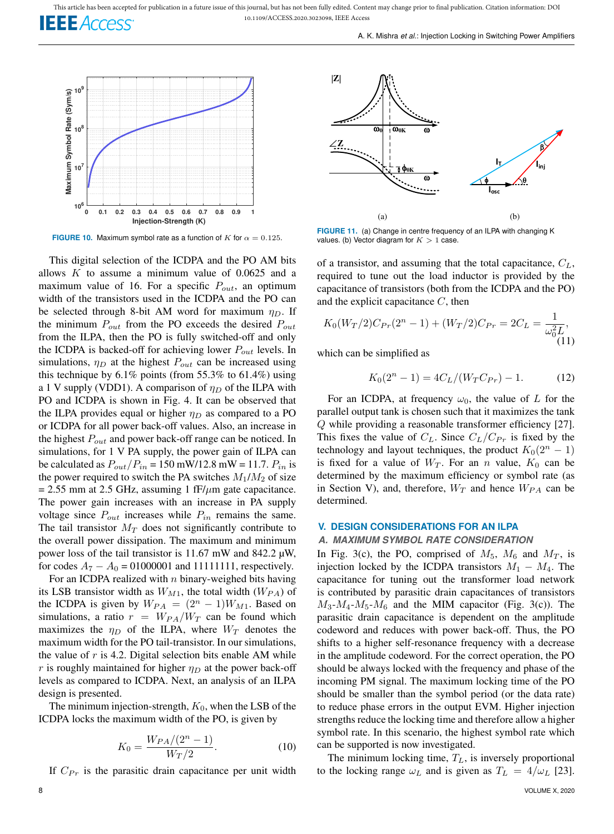This article has been accepted for publication in a future issue of this journal, but has not been fully edited. Content may change prior to final publication. Citation information: DOI 10.1109/ACCESS.2020.3023098, IEEE Access **IEEE** Access



**FIGURE 10.** Maximum symbol rate as a function of K for  $\alpha = 0.125$ .

This digital selection of the ICDPA and the PO AM bits allows  $K$  to assume a minimum value of 0.0625 and a maximum value of 16. For a specific  $P_{out}$ , an optimum width of the transistors used in the ICDPA and the PO can be selected through 8-bit AM word for maximum  $\eta_D$ . If the minimum  $P_{out}$  from the PO exceeds the desired  $P_{out}$ from the ILPA, then the PO is fully switched-off and only the ICDPA is backed-off for achieving lower  $P_{out}$  levels. In simulations,  $\eta_D$  at the highest  $P_{out}$  can be increased using this technique by  $6.1\%$  points (from 55.3% to  $61.4\%$ ) using a 1 V supply (VDD1). A comparison of  $\eta_D$  of the ILPA with PO and ICDPA is shown in Fig. 4. It can be observed that the ILPA provides equal or higher  $\eta_D$  as compared to a PO or ICDPA for all power back-off values. Also, an increase in the highest  $P_{out}$  and power back-off range can be noticed. In simulations, for 1 V PA supply, the power gain of ILPA can be calculated as  $P_{out}/P_{in} = 150 \text{ mW}/12.8 \text{ mW} = 11.7$ .  $P_{in}$  is the power required to switch the PA switches  $M_1/M_2$  of size  $= 2.55$  mm at 2.5 GHz, assuming 1 fF/ $\mu$ m gate capacitance. The power gain increases with an increase in PA supply voltage since  $P_{out}$  increases while  $P_{in}$  remains the same. The tail transistor  $M_T$  does not significantly contribute to the overall power dissipation. The maximum and minimum power loss of the tail transistor is 11.67 mW and 842.2  $\mu$ W, for codes  $A_7 - A_0 = 01000001$  and 11111111, respectively.

For an ICDPA realized with  $n$  binary-weighed bits having its LSB transistor width as  $W_{M1}$ , the total width  $(W_{PA})$  of the ICDPA is given by  $W_{PA} = (2^n - 1)W_{M1}$ . Based on simulations, a ratio  $r = W_{PA}/W_T$  can be found which maximizes the  $\eta_D$  of the ILPA, where  $W_T$  denotes the maximum width for the PO tail-transistor. In our simulations, the value of  $r$  is 4.2. Digital selection bits enable AM while r is roughly maintained for higher  $\eta_D$  at the power back-off levels as compared to ICDPA. Next, an analysis of an ILPA design is presented.

The minimum injection-strength,  $K_0$ , when the LSB of the ICDPA locks the maximum width of the PO, is given by

$$
K_0 = \frac{W_{PA}/(2^n - 1)}{W_T/2}.
$$
\n(10)

If  $C_{Pr}$  is the parasitic drain capacitance per unit width



**FIGURE 11.** (a) Change in centre frequency of an ILPA with changing K values. (b) Vector diagram for  $K > 1$  case.

of a transistor, and assuming that the total capacitance,  $C_L$ , required to tune out the load inductor is provided by the capacitance of transistors (both from the ICDPA and the PO) and the explicit capacitance  $C$ , then

$$
K_0(W_T/2)C_{Pr}(2^n - 1) + (W_T/2)C_{Pr} = 2C_L = \frac{1}{\omega_0^2 L},
$$
\n(11)

which can be simplified as

$$
K_0(2^n - 1) = 4C_L/(W_T C_{Pr}) - 1.
$$
 (12)

For an ICDPA, at frequency  $\omega_0$ , the value of L for the parallel output tank is chosen such that it maximizes the tank Q while providing a reasonable transformer efficiency [27]. This fixes the value of  $C_L$ . Since  $C_L/C_{Pr}$  is fixed by the technology and layout techniques, the product  $K_0(2^n - 1)$ is fixed for a value of  $W_T$ . For an n value,  $K_0$  can be determined by the maximum efficiency or symbol rate (as in Section V), and, therefore,  $W_T$  and hence  $W_{PA}$  can be determined.

#### **V. DESIGN CONSIDERATIONS FOR AN ILPA**

#### *A. MAXIMUM SYMBOL RATE CONSIDERATION*

In Fig. 3(c), the PO, comprised of  $M_5$ ,  $M_6$  and  $M_T$ , is injection locked by the ICDPA transistors  $M_1 - M_4$ . The capacitance for tuning out the transformer load network is contributed by parasitic drain capacitances of transistors  $M_3-M_4-M_5-M_6$  and the MIM capacitor (Fig. 3(c)). The parasitic drain capacitance is dependent on the amplitude codeword and reduces with power back-off. Thus, the PO shifts to a higher self-resonance frequency with a decrease in the amplitude codeword. For the correct operation, the PO should be always locked with the frequency and phase of the incoming PM signal. The maximum locking time of the PO should be smaller than the symbol period (or the data rate) to reduce phase errors in the output EVM. Higher injection strengths reduce the locking time and therefore allow a higher symbol rate. In this scenario, the highest symbol rate which can be supported is now investigated.

The minimum locking time,  $T_L$ , is inversely proportional to the locking range  $\omega_L$  and is given as  $T_L = 4/\omega_L$  [23].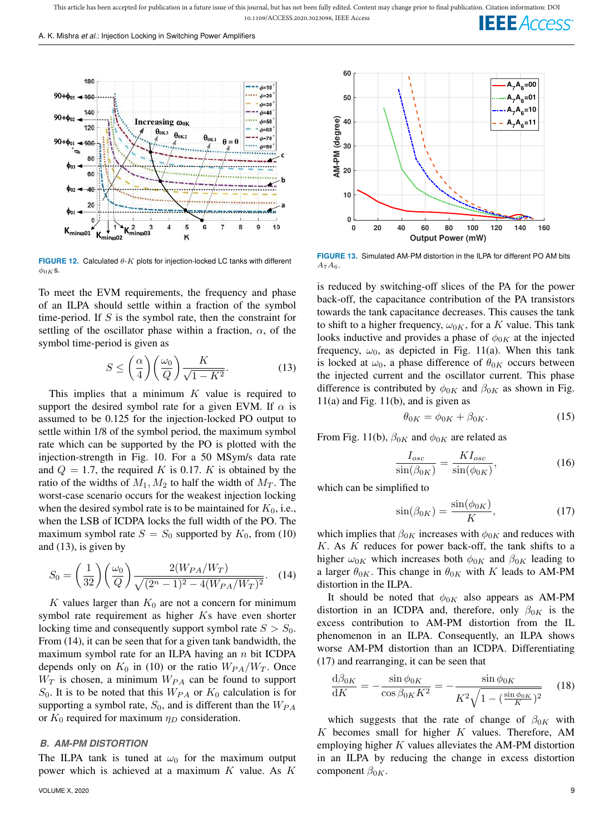A. K. Mishra *et al.*: Injection Locking in Switching Power Amplifiers



**FIGURE 12.** Calculated θ-K plots for injection-locked LC tanks with different  $\phi_{0K}$ s.

To meet the EVM requirements, the frequency and phase of an ILPA should settle within a fraction of the symbol time-period. If  $S$  is the symbol rate, then the constraint for settling of the oscillator phase within a fraction,  $\alpha$ , of the symbol time-period is given as

$$
S \le \left(\frac{\alpha}{4}\right) \left(\frac{\omega_0}{Q}\right) \frac{K}{\sqrt{1-K^2}}.\tag{13}
$$

This implies that a minimum  $K$  value is required to support the desired symbol rate for a given EVM. If  $\alpha$  is assumed to be 0.125 for the injection-locked PO output to settle within 1/8 of the symbol period, the maximum symbol rate which can be supported by the PO is plotted with the injection-strength in Fig. 10. For a 50 MSym/s data rate and  $Q = 1.7$ , the required K is 0.17. K is obtained by the ratio of the widths of  $M_1, M_2$  to half the width of  $M_T$ . The worst-case scenario occurs for the weakest injection locking when the desired symbol rate is to be maintained for  $K_0$ , i.e., when the LSB of ICDPA locks the full width of the PO. The maximum symbol rate  $S = S_0$  supported by  $K_0$ , from (10) and (13), is given by

$$
S_0 = \left(\frac{1}{32}\right) \left(\frac{\omega_0}{Q}\right) \frac{2(W_{PA}/W_T)}{\sqrt{(2^n - 1)^2 - 4(W_{PA}/W_T)^2}}.
$$
 (14)

K values larger than  $K_0$  are not a concern for minimum symbol rate requirement as higher Ks have even shorter locking time and consequently support symbol rate  $S > S_0$ . From (14), it can be seen that for a given tank bandwidth, the maximum symbol rate for an ILPA having an  $n$  bit ICDPA depends only on  $K_0$  in (10) or the ratio  $W_{PA}/W_T$ . Once  $W_T$  is chosen, a minimum  $W_{PA}$  can be found to support  $S_0$ . It is to be noted that this  $W_{PA}$  or  $K_0$  calculation is for supporting a symbol rate,  $S_0$ , and is different than the  $W_{PA}$ or  $K_0$  required for maximum  $\eta_D$  consideration.

#### *B. AM-PM DISTORTION*

The ILPA tank is tuned at  $\omega_0$  for the maximum output power which is achieved at a maximum  $K$  value. As  $K$ 



**FIGURE 13.** Simulated AM-PM distortion in the ILPA for different PO AM bits  $A_7A_6$ 

is reduced by switching-off slices of the PA for the power back-off, the capacitance contribution of the PA transistors towards the tank capacitance decreases. This causes the tank to shift to a higher frequency,  $\omega_{0K}$ , for a K value. This tank looks inductive and provides a phase of  $\phi_{0K}$  at the injected frequency,  $\omega_0$ , as depicted in Fig. 11(a). When this tank is locked at  $\omega_0$ , a phase difference of  $\theta_{0K}$  occurs between the injected current and the oscillator current. This phase difference is contributed by  $\phi_{0K}$  and  $\beta_{0K}$  as shown in Fig.  $11(a)$  and Fig.  $11(b)$ , and is given as

$$
\theta_{0K} = \phi_{0K} + \beta_{0K}.\tag{15}
$$

From Fig. 11(b),  $\beta_{0K}$  and  $\phi_{0K}$  are related as

$$
\frac{I_{osc}}{\sin(\beta_{0K})} = \frac{KI_{osc}}{\sin(\phi_{0K})},\tag{16}
$$

which can be simplified to

$$
\sin(\beta_{0K}) = \frac{\sin(\phi_{0K})}{K},\tag{17}
$$

which implies that  $\beta_{0K}$  increases with  $\phi_{0K}$  and reduces with  $K$ . As  $K$  reduces for power back-off, the tank shifts to a higher  $\omega_{0K}$  which increases both  $\phi_{0K}$  and  $\beta_{0K}$  leading to a larger  $\theta_{0K}$ . This change in  $\theta_{0K}$  with K leads to AM-PM distortion in the ILPA.

It should be noted that  $\phi_{0K}$  also appears as AM-PM distortion in an ICDPA and, therefore, only  $\beta_{0K}$  is the excess contribution to AM-PM distortion from the IL phenomenon in an ILPA. Consequently, an ILPA shows worse AM-PM distortion than an ICDPA. Differentiating (17) and rearranging, it can be seen that

$$
\frac{d\beta_{0K}}{dK} = -\frac{\sin\phi_{0K}}{\cos\beta_{0K}K^2} = -\frac{\sin\phi_{0K}}{K^2\sqrt{1 - (\frac{\sin\phi_{0K}}{K})^2}} \quad (18)
$$

which suggests that the rate of change of  $\beta_{0K}$  with  $K$  becomes small for higher  $K$  values. Therefore, AM employing higher  $K$  values alleviates the AM-PM distortion in an ILPA by reducing the change in excess distortion component  $\beta_{0K}$ .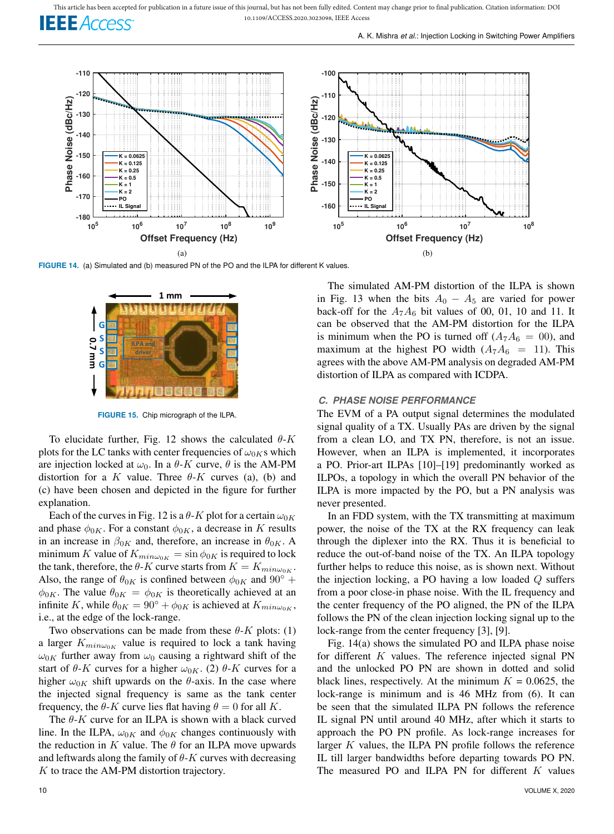

FIGURE 14. (a) Simulated and (b) measured PN of the PO and the ILPA for different K values.



**FIGURE 15.** Chip micrograph of the ILPA.

To elucidate further, Fig. 12 shows the calculated  $\theta$ -K plots for the LC tanks with center frequencies of  $\omega_{0K}$ s which are injection locked at  $\omega_0$ . In a  $\theta$ -K curve,  $\theta$  is the AM-PM distortion for a K value. Three  $\theta$ -K curves (a), (b) and (c) have been chosen and depicted in the figure for further explanation.

Each of the curves in Fig. 12 is a  $\theta$ -K plot for a certain  $\omega_{0K}$ and phase  $\phi_{0K}$ . For a constant  $\phi_{0K}$ , a decrease in K results in an increase in  $\beta_{0K}$  and, therefore, an increase in  $\theta_{0K}$ . A minimum K value of  $K_{min\omega_{0K}} = \sin \phi_{0K}$  is required to lock the tank, therefore, the  $\theta$ -K curve starts from  $K = K_{min\omega_{0K}}$ . Also, the range of  $\theta_{0K}$  is confined between  $\phi_{0K}$  and  $90^{\circ}$  +  $\phi_{0K}$ . The value  $\theta_{0K} = \phi_{0K}$  is theoretically achieved at an infinite K, while  $\theta_{0K} = 90^{\circ} + \phi_{0K}$  is achieved at  $K_{min\omega_{0K}}$ , i.e., at the edge of the lock-range.

Two observations can be made from these  $\theta$ -K plots: (1) a larger  $K_{min\omega_0}$  value is required to lock a tank having  $\omega_{0K}$  further away from  $\omega_0$  causing a rightward shift of the start of  $\theta$ -K curves for a higher  $\omega_{0K}$ . (2)  $\theta$ -K curves for a higher  $\omega_{0K}$  shift upwards on the  $\theta$ -axis. In the case where the injected signal frequency is same as the tank center frequency, the  $\theta$ -K curve lies flat having  $\theta = 0$  for all K.

The  $\theta$ -K curve for an ILPA is shown with a black curved line. In the ILPA,  $\omega_{0K}$  and  $\phi_{0K}$  changes continuously with the reduction in K value. The  $\theta$  for an ILPA move upwards and leftwards along the family of  $\theta$ -K curves with decreasing  $K$  to trace the AM-PM distortion trajectory.

The simulated AM-PM distortion of the ILPA is shown in Fig. 13 when the bits  $A_0 - A_5$  are varied for power back-off for the  $A_7A_6$  bit values of 00, 01, 10 and 11. It can be observed that the AM-PM distortion for the ILPA is minimum when the PO is turned off  $(A_7A_6 = 00)$ , and maximum at the highest PO width  $(A_7A_6 = 11)$ . This agrees with the above AM-PM analysis on degraded AM-PM distortion of ILPA as compared with ICDPA.

#### *C. PHASE NOISE PERFORMANCE*

The EVM of a PA output signal determines the modulated signal quality of a TX. Usually PAs are driven by the signal from a clean LO, and TX PN, therefore, is not an issue. However, when an ILPA is implemented, it incorporates a PO. Prior-art ILPAs [10]–[19] predominantly worked as ILPOs, a topology in which the overall PN behavior of the ILPA is more impacted by the PO, but a PN analysis was never presented.

In an FDD system, with the TX transmitting at maximum power, the noise of the TX at the RX frequency can leak through the diplexer into the RX. Thus it is beneficial to reduce the out-of-band noise of the TX. An ILPA topology further helps to reduce this noise, as is shown next. Without the injection locking, a PO having a low loaded  $Q$  suffers from a poor close-in phase noise. With the IL frequency and the center frequency of the PO aligned, the PN of the ILPA follows the PN of the clean injection locking signal up to the lock-range from the center frequency [3], [9].

Fig. 14(a) shows the simulated PO and ILPA phase noise for different  $K$  values. The reference injected signal PN and the unlocked PO PN are shown in dotted and solid black lines, respectively. At the minimum  $K = 0.0625$ , the lock-range is minimum and is 46 MHz from (6). It can be seen that the simulated ILPA PN follows the reference IL signal PN until around 40 MHz, after which it starts to approach the PO PN profile. As lock-range increases for larger  $K$  values, the ILPA PN profile follows the reference IL till larger bandwidths before departing towards PO PN. The measured PO and ILPA PN for different  $K$  values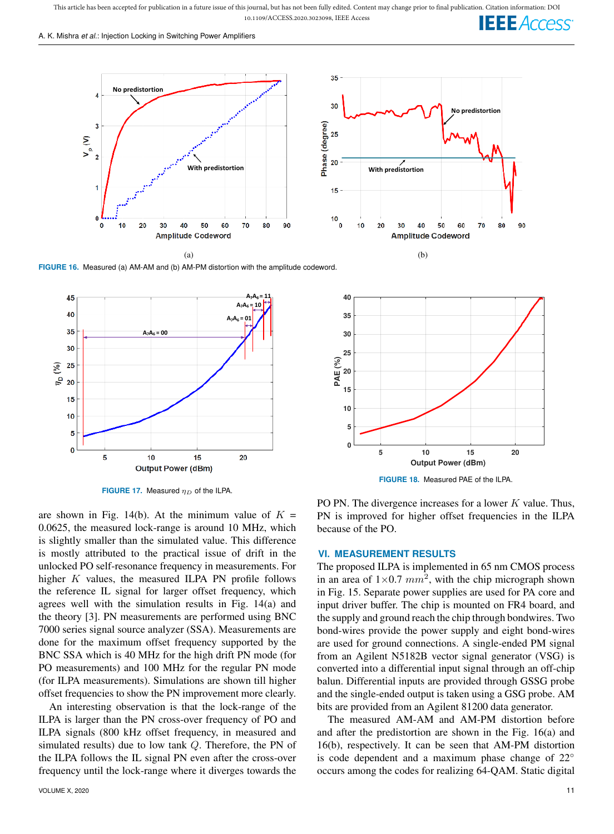A. K. Mishra *et al.*: Injection Locking in Switching Power Amplifiers



**FIGURE 16.** Measured (a) AM-AM and (b) AM-PM distortion with the amplitude codeword.



**FIGURE 17.** Measured  $\eta_D$  of the ILPA.

are shown in Fig. 14(b). At the minimum value of  $K =$ 0.0625, the measured lock-range is around 10 MHz, which is slightly smaller than the simulated value. This difference is mostly attributed to the practical issue of drift in the unlocked PO self-resonance frequency in measurements. For higher  $K$  values, the measured ILPA PN profile follows the reference IL signal for larger offset frequency, which agrees well with the simulation results in Fig. 14(a) and the theory [3]. PN measurements are performed using BNC 7000 series signal source analyzer (SSA). Measurements are done for the maximum offset frequency supported by the BNC SSA which is 40 MHz for the high drift PN mode (for PO measurements) and 100 MHz for the regular PN mode (for ILPA measurements). Simulations are shown till higher offset frequencies to show the PN improvement more clearly.

An interesting observation is that the lock-range of the ILPA is larger than the PN cross-over frequency of PO and ILPA signals (800 kHz offset frequency, in measured and simulated results) due to low tank Q. Therefore, the PN of the ILPA follows the IL signal PN even after the cross-over frequency until the lock-range where it diverges towards the



PO PN. The divergence increases for a lower  $K$  value. Thus, PN is improved for higher offset frequencies in the ILPA because of the PO.

#### **VI. MEASUREMENT RESULTS**

The proposed ILPA is implemented in 65 nm CMOS process in an area of  $1 \times 0.7$   $mm^2$ , with the chip micrograph shown in Fig. 15. Separate power supplies are used for PA core and input driver buffer. The chip is mounted on FR4 board, and the supply and ground reach the chip through bondwires. Two bond-wires provide the power supply and eight bond-wires are used for ground connections. A single-ended PM signal from an Agilent N5182B vector signal generator (VSG) is converted into a differential input signal through an off-chip balun. Differential inputs are provided through GSSG probe and the single-ended output is taken using a GSG probe. AM bits are provided from an Agilent 81200 data generator.

The measured AM-AM and AM-PM distortion before and after the predistortion are shown in the Fig. 16(a) and 16(b), respectively. It can be seen that AM-PM distortion is code dependent and a maximum phase change of 22◦ occurs among the codes for realizing 64-QAM. Static digital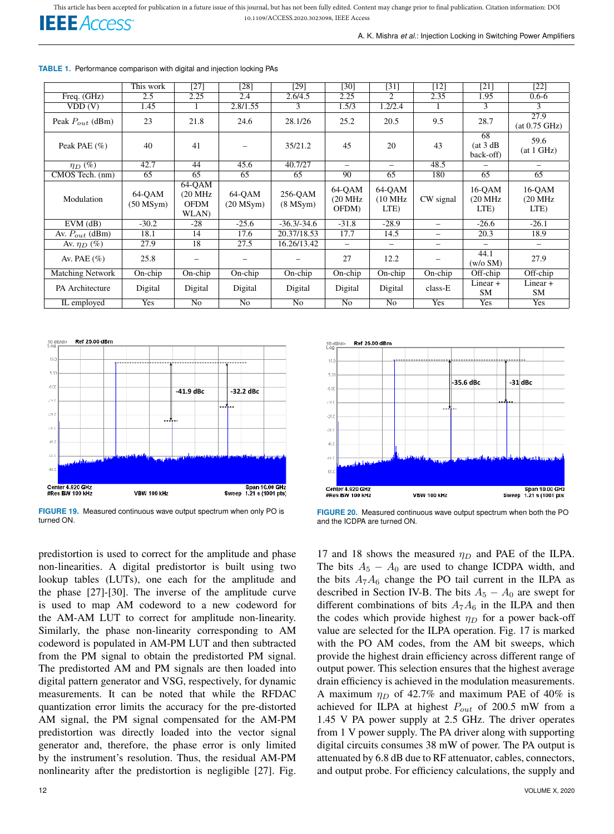

A. K. Mishra *et al.*: Injection Locking in Switching Power Amplifiers

**TABLE 1.** Performance comparison with digital and injection locking PAs

|                         | This work                | $[27]$                                               | [28]                     | [29]                     | [30]                        | $[31]$                    | $[12]$                   | $[21]$                                 | $[22]$                                 |
|-------------------------|--------------------------|------------------------------------------------------|--------------------------|--------------------------|-----------------------------|---------------------------|--------------------------|----------------------------------------|----------------------------------------|
| Freq. $(GHz)$           | 2.5                      | 2.25                                                 | 2.4                      | 2.6/4.5                  | 2.25                        | $\overline{c}$            | 2.35                     | 1.95                                   | $0.6 - 6$                              |
| VDD(V)                  | 1.45                     | 1                                                    | 2.8/1.55                 | 3                        | 1.5/3                       | 1.2/2.4                   |                          | 3                                      | 3                                      |
| Peak $P_{out}$ (dBm)    | 23                       | 21.8                                                 | 24.6                     | 28.1/26                  | 25.2                        | 20.5                      | 9.5                      | 28.7                                   | 27.9<br>(at 0.75 GHz)                  |
| Peak PAE $(\% )$        | 40                       | 41                                                   |                          | 35/21.2                  | 45                          | 20                        | 43                       | 68<br>(at 3 dB)<br>back-off)           | 59.6<br>(at 1 GHz)                     |
| $\eta_D(\%)$            | 42.7                     | 44                                                   | 45.6                     | 40.7/27                  | -                           | -                         | 48.5                     |                                        | $\overline{\phantom{0}}$               |
| CMOS Tech. (nm)         | 65                       | 65                                                   | 65                       | 65                       | 90                          | 65                        | 180                      | 65                                     | 65                                     |
| Modulation              | 64-QAM<br>$(50$ MSym $)$ | 64-QAM<br>$(20 \text{ MHz})$<br><b>OFDM</b><br>WLAN) | 64-OAM<br>$(20$ MSym $)$ | 256-OAM<br>$(8$ MSym $)$ | 64-QAM<br>(20 MHz)<br>OFDM) | 64-QAM<br>(10 MHz<br>LTE) | CW signal                | $16-QAM$<br>$(20 \text{ MHz})$<br>LTE) | $16-QAM$<br>$(20 \text{ MHz})$<br>LTE) |
| $EVM$ (dB)              | $-30.2$                  | $-28$                                                | $-25.6$                  | $-36.3/-34.6$            | $-31.8$                     | $-28.9$                   | $\overline{\phantom{0}}$ | $-26.6$                                | $-26.1$                                |
| Av. $P_{out}$ (dBm)     | 18.1                     | 14                                                   | 17.6                     | 20.37/18.53              | 17.7                        | 14.5                      | $\qquad \qquad -$        | 20.3                                   | 18.9                                   |
| Av. $\eta_D(\%)$        | 27.9                     | 18                                                   | 27.5                     | 16.26/13.42              | $\overline{\phantom{0}}$    | $\overline{\phantom{0}}$  | $\overline{\phantom{0}}$ | $\overline{\phantom{0}}$               |                                        |
| Av. PAE $(\% )$         | 25.8                     |                                                      |                          |                          | 27                          | 12.2                      |                          | 44.1<br>(w/o SM)                       | 27.9                                   |
| <b>Matching Network</b> | On-chip                  | $On$ -chip                                           | $On$ -chip               | $On$ -chip               | $On$ -chip                  | $On$ -chip                | $On$ -chip               | Off-chip                               | Off-chip                               |
| PA Architecture         | Digital                  | Digital                                              | Digital                  | Digital                  | Digital                     | Digital                   | class-E                  | Linear $+$<br><b>SM</b>                | $Linear +$<br>SM.                      |
| IL employed             | Yes                      | No                                                   | No                       | No                       | No                          | No                        | Yes                      | Yes                                    | Yes                                    |



**FIGURE 19.** Measured continuous wave output spectrum when only PO is turned ON.

predistortion is used to correct for the amplitude and phase non-linearities. A digital predistortor is built using two lookup tables (LUTs), one each for the amplitude and the phase [27]-[30]. The inverse of the amplitude curve is used to map AM codeword to a new codeword for the AM-AM LUT to correct for amplitude non-linearity. Similarly, the phase non-linearity corresponding to AM codeword is populated in AM-PM LUT and then subtracted from the PM signal to obtain the predistorted PM signal. The predistorted AM and PM signals are then loaded into digital pattern generator and VSG, respectively, for dynamic measurements. It can be noted that while the RFDAC quantization error limits the accuracy for the pre-distorted AM signal, the PM signal compensated for the AM-PM predistortion was directly loaded into the vector signal generator and, therefore, the phase error is only limited by the instrument's resolution. Thus, the residual AM-PM nonlinearity after the predistortion is negligible [27]. Fig.



**FIGURE 20.** Measured continuous wave output spectrum when both the PO and the ICDPA are turned ON.

17 and 18 shows the measured  $\eta_D$  and PAE of the ILPA. The bits  $A_5 - A_0$  are used to change ICDPA width, and the bits  $A_7A_6$  change the PO tail current in the ILPA as described in Section IV-B. The bits  $A_5 - A_0$  are swept for different combinations of bits  $A_7A_6$  in the ILPA and then the codes which provide highest  $\eta_D$  for a power back-off value are selected for the ILPA operation. Fig. 17 is marked with the PO AM codes, from the AM bit sweeps, which provide the highest drain efficiency across different range of output power. This selection ensures that the highest average drain efficiency is achieved in the modulation measurements. A maximum  $\eta_D$  of 42.7% and maximum PAE of 40% is achieved for ILPA at highest  $P_{out}$  of 200.5 mW from a 1.45 V PA power supply at 2.5 GHz. The driver operates from 1 V power supply. The PA driver along with supporting digital circuits consumes 38 mW of power. The PA output is attenuated by 6.8 dB due to RF attenuator, cables, connectors, and output probe. For efficiency calculations, the supply and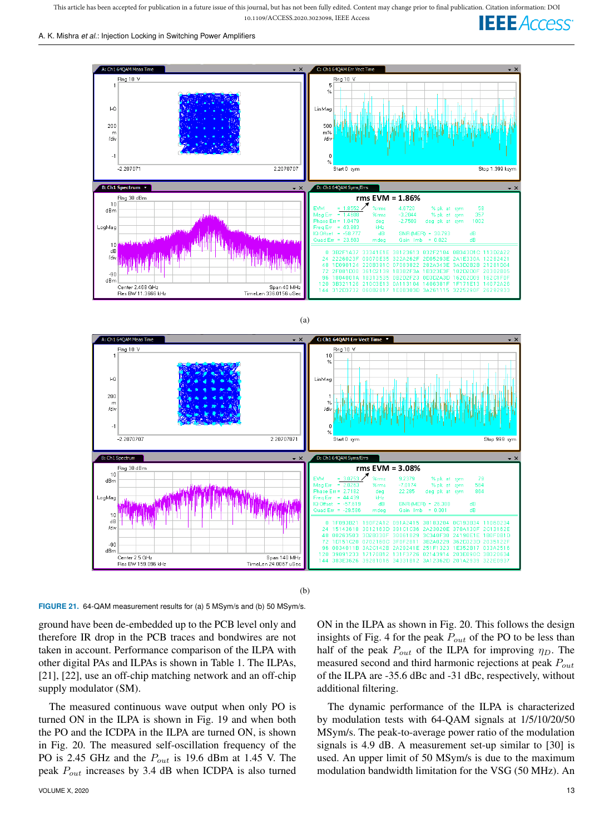This article has been accepted for publication in a future issue of this journal, but has not been fully edited. Content may change prior to final publication. Citation information: DOI<br>10.1109/ACCESS.2020.3023098, IEEE Ac 10.1109/ACCESS.2020.3023098, IEEE Access





(b)

**FIGURE 21.** 64-QAM measurement results for (a) 5 MSym/s and (b) 50 MSym/s.

ground have been de-embedded up to the PCB level only and therefore IR drop in the PCB traces and bondwires are not taken in account. Performance comparison of the ILPA with other digital PAs and ILPAs is shown in Table 1. The ILPAs, [21], [22], use an off-chip matching network and an off-chip supply modulator (SM).

The measured continuous wave output when only PO is turned ON in the ILPA is shown in Fig. 19 and when both the PO and the ICDPA in the ILPA are turned ON, is shown in Fig. 20. The measured self-oscillation frequency of the PO is 2.45 GHz and the  $P_{out}$  is 19.6 dBm at 1.45 V. The peak  $P_{out}$  increases by 3.4 dB when ICDPA is also turned

VOLUME X, 2020 13

ON in the ILPA as shown in Fig. 20. This follows the design insights of Fig. 4 for the peak  $P_{out}$  of the PO to be less than half of the peak  $P_{out}$  of the ILPA for improving  $\eta_D$ . The measured second and third harmonic rejections at peak  $P_{out}$ of the ILPA are -35.6 dBc and -31 dBc, respectively, without additional filtering.

The dynamic performance of the ILPA is characterized by modulation tests with 64-QAM signals at 1/5/10/20/50 MSym/s. The peak-to-average power ratio of the modulation signals is 4.9 dB. A measurement set-up similar to [30] is used. An upper limit of 50 MSym/s is due to the maximum modulation bandwidth limitation for the VSG (50 MHz). An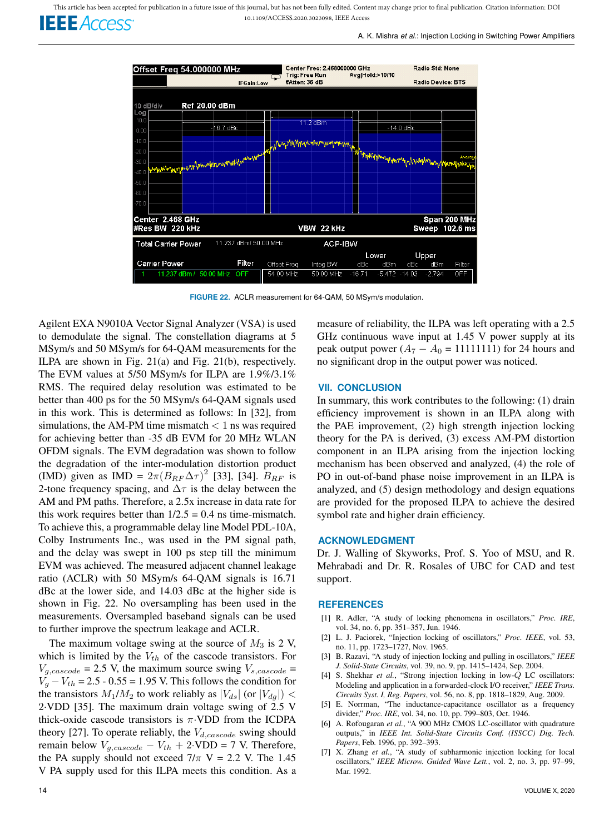A. K. Mishra *et al.*: Injection Locking in Switching Power Amplifiers



**FIGURE 22.** ACLR measurement for 64-QAM, 50 MSym/s modulation.

Agilent EXA N9010A Vector Signal Analyzer (VSA) is used to demodulate the signal. The constellation diagrams at 5 MSym/s and 50 MSym/s for 64-QAM measurements for the ILPA are shown in Fig. 21(a) and Fig. 21(b), respectively. The EVM values at 5/50 MSym/s for ILPA are 1.9%/3.1% RMS. The required delay resolution was estimated to be better than 400 ps for the 50 MSym/s 64-QAM signals used in this work. This is determined as follows: In [32], from simulations, the AM-PM time mismatch  $< 1$  ns was required for achieving better than -35 dB EVM for 20 MHz WLAN OFDM signals. The EVM degradation was shown to follow the degradation of the inter-modulation distortion product (IMD) given as IMD =  $2\pi (B_{RF} \Delta \tau)^2$  [33], [34].  $B_{RF}$  is 2-tone frequency spacing, and  $\Delta \tau$  is the delay between the AM and PM paths. Therefore, a 2.5x increase in data rate for this work requires better than  $1/2.5 = 0.4$  ns time-mismatch. To achieve this, a programmable delay line Model PDL-10A, Colby Instruments Inc., was used in the PM signal path, and the delay was swept in 100 ps step till the minimum EVM was achieved. The measured adjacent channel leakage ratio (ACLR) with 50 MSym/s 64-QAM signals is 16.71 dBc at the lower side, and 14.03 dBc at the higher side is shown in Fig. 22. No oversampling has been used in the measurements. Oversampled baseband signals can be used to further improve the spectrum leakage and ACLR.

The maximum voltage swing at the source of  $M_3$  is 2 V, which is limited by the  $V_{th}$  of the cascode transistors. For  $V_{a,cascode} = 2.5$  V, the maximum source swing  $V_{s,cascode} =$  $V_q - V_{th} = 2.5 - 0.55 = 1.95$  V. This follows the condition for the transistors  $M_1/M_2$  to work reliably as  $|V_{ds}|$  (or  $|V_{dq}|$ ) < 2·VDD [35]. The maximum drain voltage swing of 2.5 V thick-oxide cascode transistors is  $\pi$ . VDD from the ICDPA theory [27]. To operate reliably, the  $V_{d,cascode}$  swing should remain below  $V_{g,cascode} - V_{th} + 2 \cdot VDD = 7$  V. Therefore, the PA supply should not exceed  $7/\pi$  V = 2.2 V. The 1.45 V PA supply used for this ILPA meets this condition. As a measure of reliability, the ILPA was left operating with a 2.5 GHz continuous wave input at 1.45 V power supply at its peak output power  $(A_7 - A_0 = 11111111)$  for 24 hours and no significant drop in the output power was noticed.

#### **VII. CONCLUSION**

In summary, this work contributes to the following: (1) drain efficiency improvement is shown in an ILPA along with the PAE improvement, (2) high strength injection locking theory for the PA is derived, (3) excess AM-PM distortion component in an ILPA arising from the injection locking mechanism has been observed and analyzed, (4) the role of PO in out-of-band phase noise improvement in an ILPA is analyzed, and (5) design methodology and design equations are provided for the proposed ILPA to achieve the desired symbol rate and higher drain efficiency.

#### **ACKNOWLEDGMENT**

Dr. J. Walling of Skyworks, Prof. S. Yoo of MSU, and R. Mehrabadi and Dr. R. Rosales of UBC for CAD and test support.

#### **REFERENCES**

- [1] R. Adler, "A study of locking phenomena in oscillators," *Proc. IRE*, vol. 34, no. 6, pp. 351–357, Jun. 1946.
- [2] L. J. Paciorek, "Injection locking of oscillators," *Proc. IEEE*, vol. 53, no. 11, pp. 1723–1727, Nov. 1965.
- [3] B. Razavi, "A study of injection locking and pulling in oscillators," *IEEE J. Solid-State Circuits*, vol. 39, no. 9, pp. 1415–1424, Sep. 2004.
- [4] S. Shekhar *et al.*, "Strong injection locking in low-Q LC oscillators: Modeling and application in a forwarded-clock I/O receiver," *IEEE Trans. Circuits Syst. I, Reg. Papers*, vol. 56, no. 8, pp. 1818–1829, Aug. 2009.
- [5] E. Norrman, "The inductance-capacitance oscillator as a frequency divider," *Proc. IRE*, vol. 34, no. 10, pp. 799–803, Oct. 1946.
- [6] A. Rofougaran *et al.*, "A 900 MHz CMOS LC-oscillator with quadrature outputs," in *IEEE Int. Solid-State Circuits Conf. (ISSCC) Dig. Tech. Papers*, Feb. 1996, pp. 392–393.
- [7] X. Zhang *et al.*, "A study of subharmonic injection locking for local oscillators," *IEEE Microw. Guided Wave Lett.*, vol. 2, no. 3, pp. 97–99, Mar. 1992.